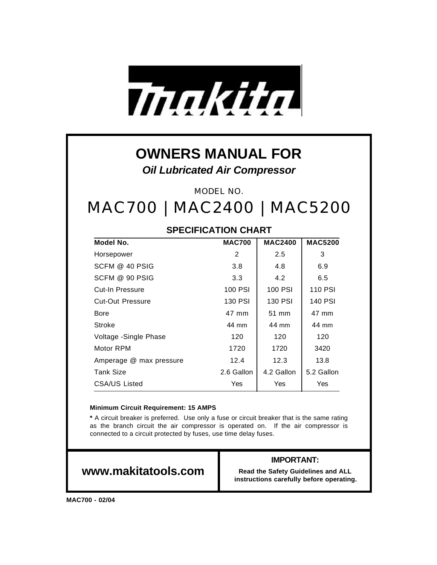

## **OWNERS MANUAL FOR** *Oil Lubricated Air Compressor*

MODEL NO.

# MAC700 | MAC2400 | MAC5200

### **SPECIFICATION CHART**

| Model No.               | <b>MAC700</b> | <b>MAC2400</b> | <b>MAC5200</b> |
|-------------------------|---------------|----------------|----------------|
| Horsepower              | 2             | 2.5            | 3              |
| SCFM @ 40 PSIG          | 3.8           | 4.8            | 6.9            |
| SCFM @ 90 PSIG          | 3.3           | 4.2            | 6.5            |
| Cut-In Pressure         | 100 PSI       | 100 PSI        | <b>110 PSI</b> |
| <b>Cut-Out Pressure</b> | 130 PSI       | 130 PSI        | 140 PSI        |
| Bore                    | 47 mm         | 51 mm          | 47 mm          |
| Stroke                  | 44 mm         | 44 mm          | 44 mm          |
| Voltage - Single Phase  | 120           | 120            | 120            |
| Motor RPM               | 1720          | 1720           | 3420           |
| Amperage @ max pressure | 12.4          | 12.3           | 13.8           |
| <b>Tank Size</b>        | 2.6 Gallon    | 4.2 Gallon     | 5.2 Gallon     |
| CSA/US Listed           | Yes           | Yes            | Yes            |

#### **Minimum Circuit Requirement: 15 AMPS**

**\*** A circuit breaker is preferred. Use only a fuse or circuit breaker that is the same rating as the branch circuit the air compressor is operated on. If the air compressor is connected to a circuit protected by fuses, use time delay fuses.

### **www.makitatools.com**

#### **IMPORTANT:**

**Read the Safety Guidelines and ALL instructions carefully before operating.**

**MAC700 - 02/04**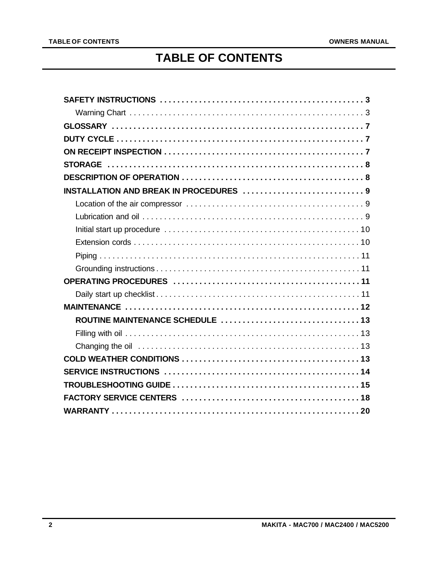### **TABLE OF CONTENTS**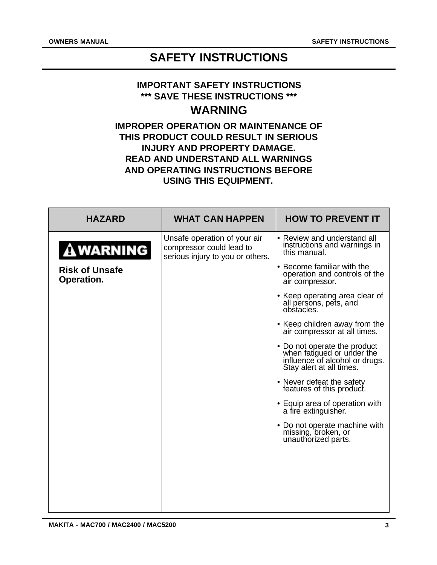### **SAFETY INSTRUCTIONS**

#### **IMPORTANT SAFETY INSTRUCTIONS \*\*\* SAVE THESE INSTRUCTIONS \*\*\***

### **WARNING**

### **IMPROPER OPERATION OR MAINTENANCE OF THIS PRODUCT COULD RESULT IN SERIOUS INJURY AND PROPERTY DAMAGE. READ AND UNDERSTAND ALL WARNINGS AND OPERATING INSTRUCTIONS BEFORE USING THIS EQUIPMENT.**

| <b>HAZARD</b>                       | <b>WHAT CAN HAPPEN</b>                                                                       | <b>HOW TO PREVENT IT</b>                                                                                                 |
|-------------------------------------|----------------------------------------------------------------------------------------------|--------------------------------------------------------------------------------------------------------------------------|
| <b>AWARNING</b>                     | Unsafe operation of your air<br>compressor could lead to<br>serious injury to you or others. | • Review and understand all<br>instructions and warnings in<br>this manual.                                              |
| <b>Risk of Unsafe</b><br>Operation. |                                                                                              | • Become familiar with the<br>operation and controls of the<br>air compressor.                                           |
|                                     |                                                                                              | • Keep operating area clear of<br>all persons, pets, and<br>obstacles.                                                   |
|                                     |                                                                                              | • Keep children away from the<br>air compressor at all times.                                                            |
|                                     |                                                                                              | • Do not operate the product<br>when fatigued or under the<br>influence of alcohol or drugs.<br>Stay alert at all times. |
|                                     |                                                                                              | • Never defeat the safety<br>features of this product.                                                                   |
|                                     |                                                                                              | • Equip area of operation with<br>a fire extinguisher.                                                                   |
|                                     |                                                                                              | • Do not operate machine with<br>missing, broken, or<br>unauthorized parts.                                              |
|                                     |                                                                                              |                                                                                                                          |
|                                     |                                                                                              |                                                                                                                          |
|                                     |                                                                                              |                                                                                                                          |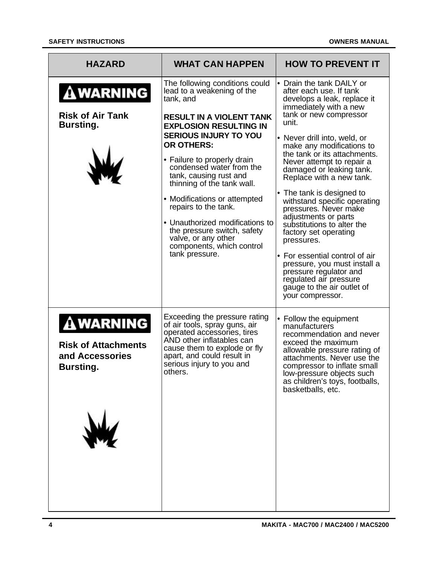| <b>HAZARD</b>                                                                 | <b>WHAT CAN HAPPEN</b>                                                                                                                                                                                                                                                                                                                                                                                                                                                                                                | <b>HOW TO PREVENT IT</b>                                                                                                                                                                                                                                                                                                                                                                                                                                                                                                                                                                                                                                                                      |
|-------------------------------------------------------------------------------|-----------------------------------------------------------------------------------------------------------------------------------------------------------------------------------------------------------------------------------------------------------------------------------------------------------------------------------------------------------------------------------------------------------------------------------------------------------------------------------------------------------------------|-----------------------------------------------------------------------------------------------------------------------------------------------------------------------------------------------------------------------------------------------------------------------------------------------------------------------------------------------------------------------------------------------------------------------------------------------------------------------------------------------------------------------------------------------------------------------------------------------------------------------------------------------------------------------------------------------|
| <b>A WARNING</b><br><b>Risk of Air Tank</b><br><b>Bursting.</b>               | The following conditions could<br>lead to a weakening of the<br>tank, and<br><b>RESULT IN A VIOLENT TANK</b><br><b>EXPLOSION RESULTING IN</b><br><b>SERIOUS INJURY TO YOU</b><br><b>OR OTHERS:</b><br>• Failure to properly drain<br>condensed water from the<br>tank, causing rust and<br>thinning of the tank wall.<br>• Modifications or attempted<br>repairs to the tank.<br>• Unauthorized modifications to<br>the pressure switch, safety<br>valve, or any other<br>components, which control<br>tank pressure. | • Drain the tank DAILY or<br>after each use. If tank<br>develops a leak, replace it<br>immediately with a new<br>tank or new compressor<br>unit.<br>• Never drill into, weld, or<br>make any modifications to<br>the tank or its attachments.<br>Never attempt to repair a<br>damaged or leaking tank.<br>Replace with a new tank.<br>• The tank is designed to<br>withstand specific operating<br>pressures. Never make<br>adjustments or parts<br>substitutions to alter the<br>factory set operating<br>pressures.<br>• For essential control of air<br>pressure, you must install a<br>pressure regulator and<br>regulated air pressure<br>gauge to the air outlet of<br>your compressor. |
| <b>AWARNING</b><br><b>Risk of Attachments</b><br>and Accessories<br>Bursting. | Exceeding the pressure rating<br>of air tools, spray guns, air<br>operated accessories, tires<br>AND other inflatables can<br>cause them to explode or fly<br>apart, and could result in<br>serious injury to you and<br>others.                                                                                                                                                                                                                                                                                      | • Follow the equipment<br>manufacturers<br>recommendation and never<br>exceed the maximum<br>allowable pressure rating of<br>attachments. Never use the<br>compressor to inflate small<br>low-pressure objects such<br>as children's toys, footballs,<br>basketballs, etc.                                                                                                                                                                                                                                                                                                                                                                                                                    |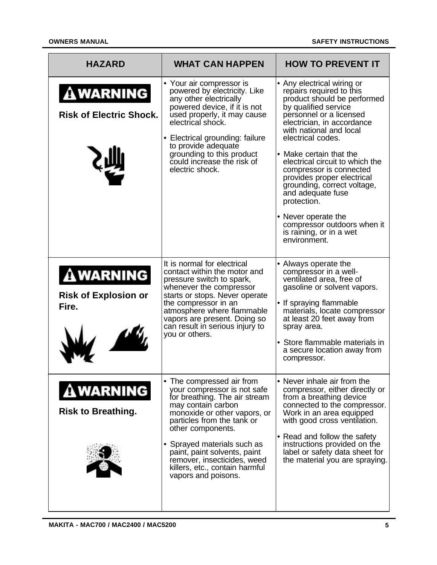| <b>HAZARD</b>                                           | <b>WHAT CAN HAPPEN</b>                                                                                                                                                                                                                                                                                                                                    | <b>HOW TO PREVENT IT</b>                                                                                                                                                                                                                                                                                                                                                                                                                                                                                          |
|---------------------------------------------------------|-----------------------------------------------------------------------------------------------------------------------------------------------------------------------------------------------------------------------------------------------------------------------------------------------------------------------------------------------------------|-------------------------------------------------------------------------------------------------------------------------------------------------------------------------------------------------------------------------------------------------------------------------------------------------------------------------------------------------------------------------------------------------------------------------------------------------------------------------------------------------------------------|
| <b>AWARNING</b><br><b>Risk of Electric Shock.</b>       | • Your air compressor is<br>powered by electricity. Like<br>any other electrically<br>powered device, if it is not<br>used properly, it may cause<br>electrical shock.<br>• Electrical grounding: failure<br>to provide adequate<br>grounding to this product<br>could increase the risk of<br>electric shock.                                            | • Any electrical wiring or<br>repairs required to this<br>product should be performed<br>by qualified service<br>personnel or a licensed<br>electrician, in accordance<br>with national and local<br>electrical codes.<br>• Make certain that the<br>electrical circuit to which the<br>compressor is connected<br>provides proper electrical<br>grounding, correct voltage,<br>and adequate fuse<br>protection.<br>• Never operate the<br>compressor outdoors when it<br>is raining, or in a wet<br>environment. |
| <b>AWARNING</b><br><b>Risk of Explosion or</b><br>Fire. | It is normal for electrical<br>contact within the motor and<br>pressure switch to spark,<br>whenever the compressor<br>starts or stops. Never operate<br>the compressor in an<br>atmosphere where flammable<br>vapors are present. Doing so<br>can result in serious injury to<br>you or others.                                                          | • Always operate the<br>compressor in a well-<br>ventilated area, free of<br>gasoline or solvent vapors.<br>• If spraying flammable<br>materials, locate compressor<br>at least 20 feet away from<br>spray area.<br>• Store flammable materials in<br>a secure location away from<br>compressor.                                                                                                                                                                                                                  |
| <b>AWARNING</b><br><b>Risk to Breathing.</b>            | • The compressed air from<br>your compressor is not safe<br>for breathing. The air stream<br>may contain carbon<br>monoxide or other vapors, or<br>particles from the tank or<br>other components.<br>• Sprayed materials such as<br>paint, paint solvents, paint<br>remover, insecticides, weed<br>killers, etc., contain harmful<br>vapors and poisons. | • Never inhale air from the<br>compressor, either directly or<br>from a breathing device<br>connected to the compressor.<br>Work in an area equipped<br>with good cross ventilation.<br>• Read and follow the safety<br>instructions provided on the<br>label or safety data sheet for<br>the material you are spraying.                                                                                                                                                                                          |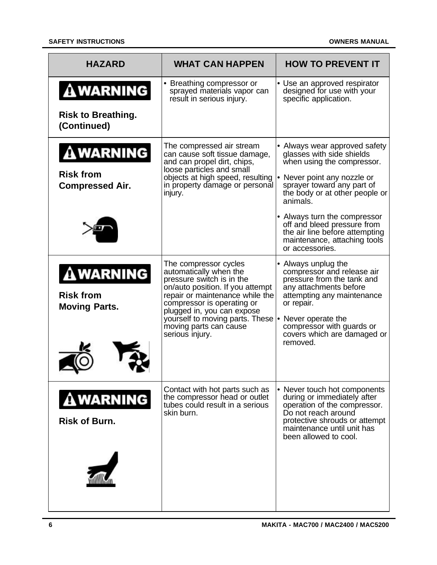#### **SAFETY INSTRUCTIONS OWNERS MANUAL**

| <b>HAZARD</b>                                                 | <b>WHAT CAN HAPPEN</b>                                                                                                                                                                                                                                                                                              | <b>HOW TO PREVENT IT</b>                                                                                                                                                                                                                                                                                                                                |
|---------------------------------------------------------------|---------------------------------------------------------------------------------------------------------------------------------------------------------------------------------------------------------------------------------------------------------------------------------------------------------------------|---------------------------------------------------------------------------------------------------------------------------------------------------------------------------------------------------------------------------------------------------------------------------------------------------------------------------------------------------------|
| <b>AWARNING</b><br><b>Risk to Breathing.</b><br>(Continued)   | • Breathing compressor or<br>sprayed materials vapor can<br>result in serious injury.                                                                                                                                                                                                                               | • Use an approved respirator<br>designed for use with your<br>specific application.                                                                                                                                                                                                                                                                     |
| <b>AWARNING</b><br><b>Risk from</b><br><b>Compressed Air.</b> | The compressed air stream<br>can cause soft tissue damage,<br>and can propel dirt, chips,<br>loose particles and small<br>objects at high speed, resulting<br>in property damage or personal<br>injury.                                                                                                             | • Always wear approved safety<br>glasses with side shields<br>when using the compressor.<br>• Never point any nozzle or<br>sprayer toward any part of<br>the body or at other people or<br>animals.<br>• Always turn the compressor<br>off and bleed pressure from<br>the air line before attempting<br>maintenance, attaching tools<br>or accessories. |
| <b>AWARNING</b><br><b>Risk from</b><br><b>Moving Parts.</b>   | The compressor cycles<br>automatically when the<br>pressure switch is in the<br>on/auto position. If you attempt<br>repair or maintenance while the<br>compressor is operating or<br>plugged in, you can expose<br>yourself to moving parts. These • Never operate the<br>moving parts can cause<br>serious injury. | • Always unplug the<br>compressor and release air<br>pressure from the tank and<br>any attachments before<br>attempting any maintenance<br>or repair.<br>compressor with guards or<br>covers which are damaged or<br>removed.                                                                                                                           |
| <b>A WARNING</b><br><b>Risk of Burn.</b>                      | Contact with hot parts such as<br>the compressor head or outlet<br>tubes could result in a serious<br>skin burn.                                                                                                                                                                                                    | • Never touch hot components<br>during or immediately after<br>operation of the compressor.<br>Do not reach around<br>protective shrouds or attempt<br>maintenance until unit has<br>been allowed to cool.                                                                                                                                              |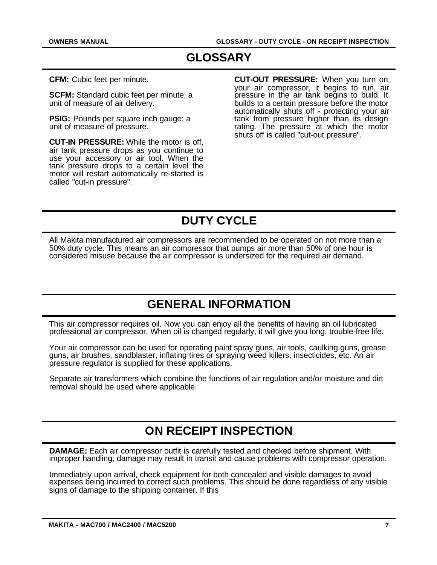### **GLOSSARY**

**CFM:** Cubic feet per minute.

**SCFM:** Standard cubic feet per minute; a unit of measure of air delivery.

**PSIG:** Pounds per square inch gauge: a unit of measure of pressure.

**CUT-IN PRESSURE:** While the motor is off, air tank pressure drops as you continue to use your accessory or air tool. When the tank pressure drops to a certain level the motor will restart automatically re-started is called "cut-in pressure".

**CUT-OUT PRESSURE:** When you turn on your air compressor, it begins to run, air pressure in the air tank begins to build. It builds to a certain pressure before the motor automatically shuts off - protecting your air tank from pressure higher than its design rating. The pressure at which the motor shuts off is called "cut-out pressure".

### **DUTY CYCLE**

All Makita manufactured air compressors are recommended to be operated on not more than a 50% duty cycle. This means an air compressor that pumps air more than 50% of one hour is considered misuse because the air compressor is undersized for the required air demand.

### **GENERAL INFORMATION**

This air compressor requires oil. Now you can enjoy all the benefits of having an oil lubricated professional air compressor. When oil is changed regularly, it will give you long, trouble-free life.

Your air compressor can be used for operating paint spray guns, air tools, caulking guns, grease guns, air brushes, sandblaster, inflating tires or spraying weed killers, insecticides, etc. An air pressure regulator is supplied for these applications.

Separate air transformers which combine the functions of air regulation and/or moisture and dirt removal should be used where applicable.

### **ON RECEIPT INSPECTION**

**DAMAGE:** Each air compressor outfit is carefully tested and checked before shipment. With improper handling, damage may result in transit and cause problems with compressor operation.

Immediately upon arrival, check equipment for both concealed and visible damages to avoid expenses being incurred to correct such problems. This should be done regardless of any visible signs of damage to the shipping container. If this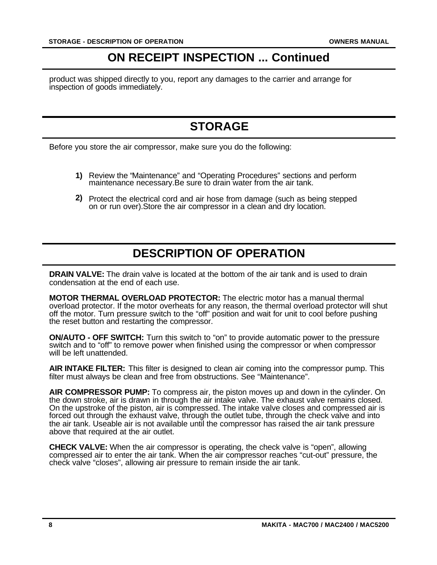### **ON RECEIPT INSPECTION ... Continued**

product was shipped directly to you, report any damages to the carrier and arrange for inspection of goods immediately.

### **STORAGE**

Before you store the air compressor, make sure you do the following:

- Review the "Maintenance" and "Operating Procedures" sections and perform **1)** maintenance necessary.Be sure to drain water from the air tank.
- 2) Protect the electrical cord and air hose from damage (such as being stepped on or run over).Store the air compressor in a clean and dry location.

### **DESCRIPTION OF OPERATION**

**DRAIN VALVE:** The drain valve is located at the bottom of the air tank and is used to drain condensation at the end of each use.

**MOTOR THERMAL OVERLOAD PROTECTOR:** The electric motor has a manual thermal overload protector. If the motor overheats for any reason, the thermal overload protector will shut off the motor. Turn pressure switch to the "off" position and wait for unit to cool before pushing the reset button and restarting the compressor.

**ON/AUTO - OFF SWITCH:** Turn this switch to "on" to provide automatic power to the pressure switch and to "off" to remove power when finished using the compressor or when compressor will be left unattended.

**AIR INTAKE FILTER:** This filter is designed to clean air coming into the compressor pump. This filter must always be clean and free from obstructions. See "Maintenance".

**AIR COMPRESSOR PUMP:** To compress air, the piston moves up and down in the cylinder. On the down stroke, air is drawn in through the air intake valve. The exhaust valve remains closed. On the upstroke of the piston, air is compressed. The intake valve closes and compressed air is forced out through the exhaust valve, through the outlet tube, through the check valve and into the air tank. Useable air is not available until the compressor has raised the air tank pressure above that required at the air outlet.

**CHECK VALVE:** When the air compressor is operating, the check valve is "open", allowing compressed air to enter the air tank. When the air compressor reaches "cut-out" pressure, the check valve "closes", allowing air pressure to remain inside the air tank.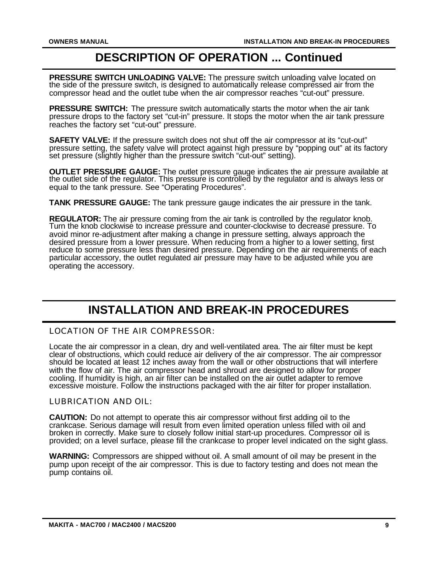### **DESCRIPTION OF OPERATION ... Continued**

**PRESSURE SWITCH UNLOADING VALVE:** The pressure switch unloading valve located on the side of the pressure switch, is designed to automatically release compressed air from the compressor head and the outlet tube when the air compressor reaches "cut-out" pressure.

**PRESSURE SWITCH:** The pressure switch automatically starts the motor when the air tank pressure drops to the factory set "cut-in" pressure. It stops the motor when the air tank pressure reaches the factory set "cut-out" pressure.

**SAFETY VALVE:** If the pressure switch does not shut off the air compressor at its "cut-out" pressure setting, the safety valve will protect against high pressure by "popping out" at its factory set pressure (slightly higher than the pressure switch "cut-out" setting).

**OUTLET PRESSURE GAUGE:** The outlet pressure gauge indicates the air pressure available at the outlet side of the regulator. This pressure is controlled by the regulator and is always less or equal to the tank pressure. See "Operating Procedures".

**TANK PRESSURE GAUGE:** The tank pressure gauge indicates the air pressure in the tank.

**REGULATOR:** The air pressure coming from the air tank is controlled by the regulator knob. Turn the knob clockwise to increase pressure and counter-clockwise to decrease pressure. To avoid minor re-adjustment after making a change in pressure setting, always approach the desired pressure from a lower pressure. When reducing from a higher to a lower setting, first reduce to some pressure less than desired pressure. Depending on the air requirements of each particular accessory, the outlet regulated air pressure may have to be adjusted while you are operating the accessory.

### **INSTALLATION AND BREAK-IN PROCEDURES**

LOCATION OF THE AIR COMPRESSOR:

Locate the air compressor in a clean, dry and well-ventilated area. The air filter must be kept clear of obstructions, which could reduce air delivery of the air compressor. The air compressor should be located at least 12 inches away from the wall or other obstructions that will interfere with the flow of air. The air compressor head and shroud are designed to allow for proper cooling. If humidity is high, an air filter can be installed on the air outlet adapter to remove excessive moisture. Follow the instructions packaged with the air filter for proper installation.

LUBRICATION AND OIL:

**CAUTION:** Do not attempt to operate this air compressor without first adding oil to the crankcase. Serious damage will result from even limited operation unless filled with oil and broken in correctly. Make sure to closely follow initial start-up procedures. Compressor oil is provided; on a level surface, please fill the crankcase to proper level indicated on the sight glass.

**WARNING:** Compressors are shipped without oil. A small amount of oil may be present in the pump upon receipt of the air compressor. This is due to factory testing and does not mean the pump contains oil.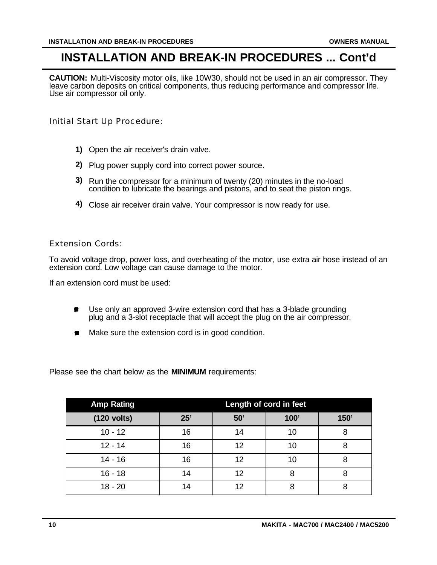### **INSTALLATION AND BREAK-IN PROCEDURES ... Cont'd**

**CAUTION:** Multi-Viscosity motor oils, like 10W30, should not be used in an air compressor. They leave carbon deposits on critical components, thus reducing performance and compressor life. Use air compressor oil only.

Initial Start Up Procedure:

- Open the air receiver's drain valve. **1)**
- 2) Plug power supply cord into correct power source.
- Run the compressor for a minimum of twenty (20) minutes in the no-load **3)** condition to lubricate the bearings and pistons, and to seat the piston rings.
- Close air receiver drain valve. Your compressor is now ready for use. **4)**

#### Extension Cords:

To avoid voltage drop, power loss, and overheating of the motor, use extra air hose instead of an extension cord. Low voltage can cause damage to the motor.

If an extension cord must be used:

- $\bullet$ Use only an approved 3-wire extension cord that has a 3-blade grounding plug and a 3-slot receptacle that will accept the plug on the air compressor.
- Make sure the extension cord is in good condition.  $\bullet$

Please see the chart below as the **MINIMUM** requirements:

| <b>Amp Rating</b> | Length of cord in feet |     |      |      |
|-------------------|------------------------|-----|------|------|
| $(120$ volts)     | 25'                    | 50' | 100' | 150' |
| $10 - 12$         | 16                     | 14  | 10   | 8    |
| $12 - 14$         | 16                     | 12  | 10   | 8    |
| $14 - 16$         | 16                     | 12  | 10   | 8    |
| $16 - 18$         | 14                     | 12  | 8    | 8    |
| $18 - 20$         | 14                     | 12  | 8    | 8    |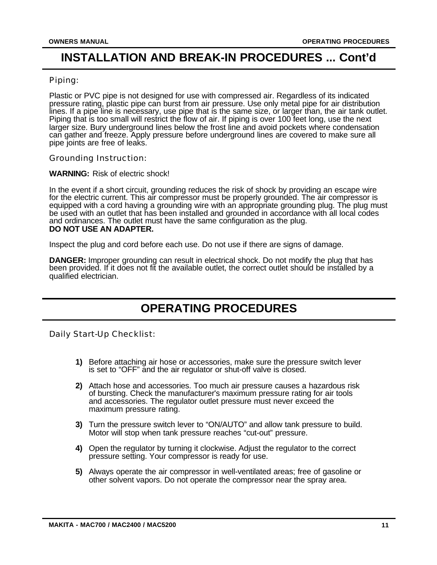### **INSTALLATION AND BREAK-IN PROCEDURES ... Cont'd**

#### Piping:

Plastic or PVC pipe is not designed for use with compressed air. Regardless of its indicated pressure rating, plastic pipe can burst from air pressure. Use only metal pipe for air distribution lines. If a pipe line is necessary, use pipe that is the same size, or larger than, the air tank outlet. Piping that is too small will restrict the flow of air. If piping is over 100 feet long, use the next larger size. Bury underground lines below the frost line and avoid pockets where condensation can gather and freeze. Apply pressure before underground lines are covered to make sure all pipe joints are free of leaks.

Grounding Instruction:

**WARNING:** Risk of electric shock!

In the event if a short circuit, grounding reduces the risk of shock by providing an escape wire for the electric current. This air compressor must be properly grounded. The air compressor is equipped with a cord having a grounding wire with an appropriate grounding plug. The plug must be used with an outlet that has been installed and grounded in accordance with all local codes and ordinances. The outlet must have the same configuration as the plug. **DO NOT USE AN ADAPTER.**

Inspect the plug and cord before each use. Do not use if there are signs of damage.

**DANGER:** Improper grounding can result in electrical shock. Do not modify the plug that has been provided. If it does not fit the available outlet, the correct outlet should be installed by a qualified electrician.

### **OPERATING PROCEDURES**

Daily Start-Up Checklist:

- 1) Before attaching air hose or accessories, make sure the pressure switch lever is set to "OFF" and the air regulator or shut-off valve is closed.
- Attach hose and accessories. Too much air pressure causes a hazardous risk **2)** of bursting. Check the manufacturer's maximum pressure rating for air tools and accessories. The regulator outlet pressure must never exceed the maximum pressure rating.
- Turn the pressure switch lever to "ON/AUTO" and allow tank pressure to build. **3)** Motor will stop when tank pressure reaches "cut-out" pressure.
- Open the regulator by turning it clockwise. Adjust the regulator to the correct **4)** pressure setting. Your compressor is ready for use.
- Always operate the air compressor in well-ventilated areas; free of gasoline or **5)**other solvent vapors. Do not operate the compressor near the spray area.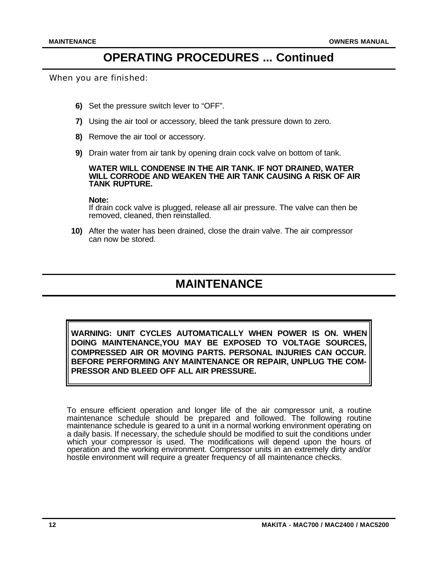### **OPERATING PROCEDURES ... Continued**

When you are finished:

- Set the pressure switch lever to "OFF". **6)**
- Using the air tool or accessory, bleed the tank pressure down to zero. **7)**
- 8) Remove the air tool or accessory.
- Drain water from air tank by opening drain cock valve on bottom of tank. **9)**

#### **WATER WILL CONDENSE IN THE AIR TANK. IF NOT DRAINED, WATER WILL CORRODE AND WEAKEN THE AIR TANK CAUSING A RISK OF AIR TANK RUPTURE.**

#### **Note:**

If drain cock valve is plugged, release all air pressure. The valve can then be removed, cleaned, then reinstalled.

After the water has been drained, close the drain valve. The air compressor **10)** can now be stored.

### **MAINTENANCE**

**WARNING: UNIT CYCLES AUTOMATICALLY WHEN POWER IS ON. WHEN DOING MAINTENANCE,YOU MAY BE EXPOSED TO VOLTAGE SOURCES, COMPRESSED AIR OR MOVING PARTS. PERSONAL INJURIES CAN OCCUR. BEFORE PERFORMING ANY MAINTENANCE OR REPAIR, UNPLUG THE COM-PRESSOR AND BLEED OFF ALL AIR PRESSURE.**

To ensure efficient operation and longer life of the air compressor unit, a routine maintenance schedule should be prepared and followed. The following routine maintenance schedule is geared to a unit in a normal working environment operating on a daily basis. If necessary, the schedule should be modified to suit the conditions under which your compressor is used. The modifications will depend upon the hours of operation and the working environment. Compressor units in an extremely dirty and/or hostile environment will require a greater frequency of all maintenance checks.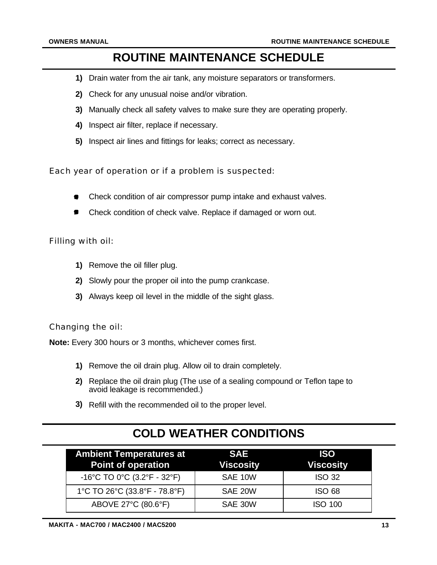### **ROUTINE MAINTENANCE SCHEDULE**

- Drain water from the air tank, any moisture separators or transformers. **1)**
- Check for any unusual noise and/or vibration. **2)**
- Manually check all safety valves to make sure they are operating properly. **3)**
- 4) Inspect air filter, replace if necessary.
- **5)** Inspect air lines and fittings for leaks; correct as necessary.

Each year of operation or if a problem is suspected:

- Check condition of air compressor pump intake and exhaust valves.
- Check condition of check valve. Replace if damaged or worn out.

#### Filling with oil:

- 1) Remove the oil filler plug.
- Slowly pour the proper oil into the pump crankcase. **2)**
- Always keep oil level in the middle of the sight glass. **3)**

Changing the oil:

**Note:** Every 300 hours or 3 months, whichever comes first.

- 1) Remove the oil drain plug. Allow oil to drain completely.
- Replace the oil drain plug (The use of a sealing compound or Teflon tape to **2)** avoid leakage is recommended.)
- 3) Refill with the recommended oil to the proper level.

### **COLD WEATHER CONDITIONS**

| <b>Ambient Temperatures at</b><br><b>Point of operation</b> | <b>SAE</b><br><b>Viscosity</b> | <b>ISO</b><br><b>Viscosity</b> |
|-------------------------------------------------------------|--------------------------------|--------------------------------|
| -16°C TO 0°C (3.2°F - 32°F)                                 | SAE 10W                        | <b>ISO 32</b>                  |
| 1°C TO 26°C (33.8°F - 78.8°F)                               | SAE 20W                        | <b>ISO 68</b>                  |
| ABOVE 27°C (80.6°F)                                         | SAE 30W                        | <b>ISO 100</b>                 |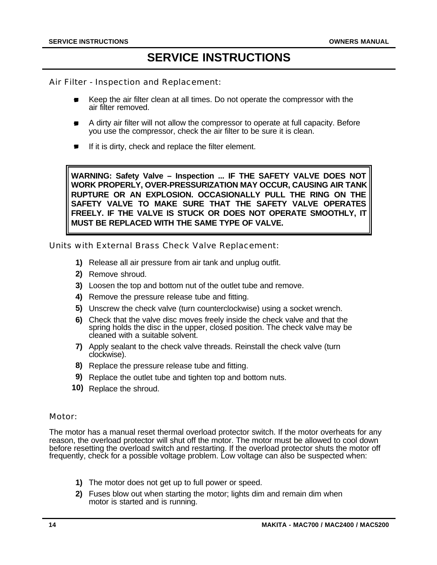### **SERVICE INSTRUCTIONS**

Air Filter - Inspection and Replacement:

- Keep the air filter clean at all times. Do not operate the compressor with the air filter removed.
- A dirty air filter will not allow the compressor to operate at full capacity. Before  $\blacksquare$ you use the compressor, check the air filter to be sure it is clean.
- If it is dirty, check and replace the filter element.  $\blacksquare$

**WARNING: Safety Valve – Inspection ... IF THE SAFETY VALVE DOES NOT WORK PROPERLY, OVER-PRESSURIZATION MAY OCCUR, CAUSING AIR TANK RUPTURE OR AN EXPLOSION. OCCASIONALLY PULL THE RING ON THE SAFETY VALVE TO MAKE SURE THAT THE SAFETY VALVE OPERATES FREELY. IF THE VALVE IS STUCK OR DOES NOT OPERATE SMOOTHLY, IT MUST BE REPLACED WITH THE SAME TYPE OF VALVE.** 

Units with External Brass Check Valve Replacement:

- Release all air pressure from air tank and unplug outfit. **1)**
- 2) Remove shroud.
- Loosen the top and bottom nut of the outlet tube and remove. **3)**
- 4) Remove the pressure release tube and fitting.
- Unscrew the check valve (turn counterclockwise) using a socket wrench. **5)**
- Check that the valve disc moves freely inside the check valve and that the **6)** spring holds the disc in the upper, closed position. The check valve may be cleaned with a suitable solvent.
- Apply sealant to the check valve threads. Reinstall the check valve (turn **7)** clockwise).
- 8) Replace the pressure release tube and fitting.
- **9)** Replace the outlet tube and tighten top and bottom nuts.
- 10) Replace the shroud.

#### Motor:

The motor has a manual reset thermal overload protector switch. If the motor overheats for any reason, the overload protector will shut off the motor. The motor must be allowed to cool down before resetting the overload switch and restarting. If the overload protector shuts the motor off frequently, check for a possible voltage problem. Low voltage can also be suspected when:

- 1) The motor does not get up to full power or speed.
- Fuses blow out when starting the motor; lights dim and remain dim when **2)** motor is started and is running.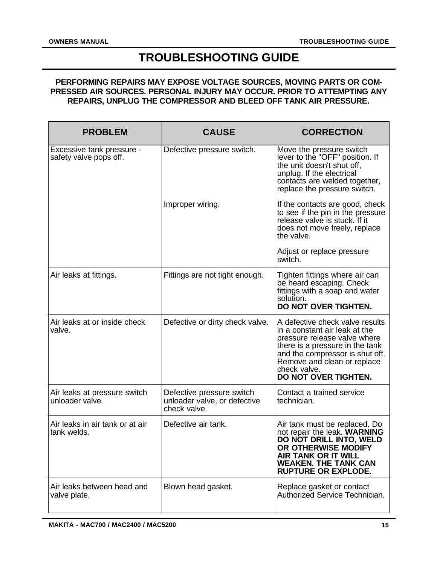### **TROUBLESHOOTING GUIDE**

#### **PERFORMING REPAIRS MAY EXPOSE VOLTAGE SOURCES, MOVING PARTS OR COM-PRESSED AIR SOURCES. PERSONAL INJURY MAY OCCUR. PRIOR TO ATTEMPTING ANY REPAIRS, UNPLUG THE COMPRESSOR AND BLEED OFF TANK AIR PRESSURE.**

| <b>PROBLEM</b>                                      | <b>CAUSE</b>                                                              | <b>CORRECTION</b>                                                                                                                                                                                                                             |
|-----------------------------------------------------|---------------------------------------------------------------------------|-----------------------------------------------------------------------------------------------------------------------------------------------------------------------------------------------------------------------------------------------|
| Excessive tank pressure -<br>safety valve pops off. | Defective pressure switch.                                                | Move the pressure switch<br>lever to the "OFF" position. If<br>the unit doesn't shut off,<br>unplug. If the electrical<br>contacts are welded together,<br>replace the pressure switch.                                                       |
|                                                     | Improper wiring.                                                          | If the contacts are good, check<br>to see if the pin in the pressure<br>release valve is stuck. If it<br>does not move freely, replace<br>the valve.                                                                                          |
|                                                     |                                                                           | Adjust or replace pressure<br>switch.                                                                                                                                                                                                         |
| Air leaks at fittings.                              | Fittings are not tight enough.                                            | Tighten fittings where air can<br>be heard escaping. Check<br>fittings with a soap and water<br>solution.<br>DO NOT OVER TIGHTEN.                                                                                                             |
| Air leaks at or inside check<br>valve.              | Defective or dirty check valve.                                           | A defective check valve results<br>in a constant air leak at the<br>pressure release valve where<br>there is a pressure in the tank<br>and the compressor is shut off.<br>Remove and clean or replace<br>check valve.<br>DO NOT OVER TIGHTEN. |
| Air leaks at pressure switch<br>unloader valve.     | Defective pressure switch<br>unloader valve, or defective<br>check valve. | Contact a trained service<br>technician.                                                                                                                                                                                                      |
| Air leaks in air tank or at air<br>tank welds.      | Defective air tank.                                                       | Air tank must be replaced. Do<br>not repair the leak. WARNING<br>DO NOT DRILL INTO. WELD<br>OR OTHERWISE MODIFY<br><b>AIR TANK OR IT WILL</b><br><b>WEAKEN. THE TANK CAN</b><br><b>RUPTURE OR EXPLODE.</b>                                    |
| Air leaks between head and<br>valve plate.          | Blown head gasket.                                                        | Replace gasket or contact<br>Authorized Service Technician.                                                                                                                                                                                   |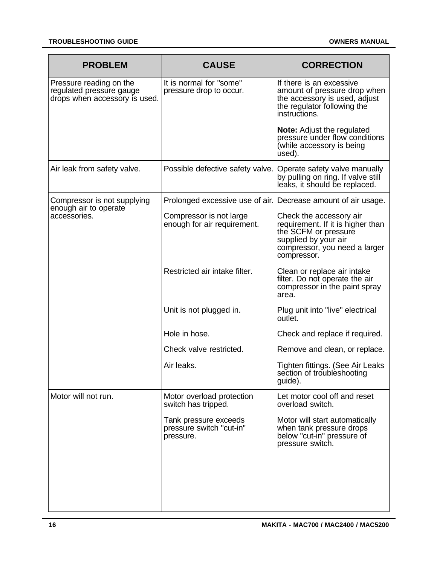| <b>PROBLEM</b>                                                                       | <b>CAUSE</b>                                                   | <b>CORRECTION</b>                                                                                                                                            |
|--------------------------------------------------------------------------------------|----------------------------------------------------------------|--------------------------------------------------------------------------------------------------------------------------------------------------------------|
| Pressure reading on the<br>regulated pressure gauge<br>drops when accessory is used. | It is normal for "some"<br>pressure drop to occur.             | If there is an excessive<br>amount of pressure drop when<br>the accessory is used, adjust<br>the regulator following the<br>instructions.                    |
|                                                                                      |                                                                | <b>Note:</b> Adjust the regulated<br>pressure under flow conditions<br>(while accessory is being<br>used).                                                   |
| Air leak from safety valve.                                                          | Possible defective safety valve. Operate safety valve manually | by pulling on ring. If valve still<br>leaks, it should be replaced.                                                                                          |
| Compressor is not supplying                                                          | Prolonged excessive use of air. Decrease amount of air usage.  |                                                                                                                                                              |
| enough air to operate<br>accessories.                                                | Compressor is not large<br>enough for air requirement.         | Check the accessory air<br>requirement. If it is higher than<br>the SCFM or pressure<br>supplied by your air<br>compressor, you need a larger<br>compressor. |
|                                                                                      | Restricted air intake filter.                                  | Clean or replace air intake<br>filter. Do not operate the air<br>compressor in the paint spray<br>area.                                                      |
|                                                                                      | Unit is not plugged in.                                        | Plug unit into "live" electrical<br>outlet.                                                                                                                  |
|                                                                                      | Hole in hose.                                                  | Check and replace if required.                                                                                                                               |
|                                                                                      | Check valve restricted.                                        | Remove and clean, or replace.                                                                                                                                |
|                                                                                      | Air leaks.                                                     | Tighten fittings. (See Air Leaks<br>section of troubleshooting<br>guide).                                                                                    |
| Motor will not run.                                                                  | Motor overload protection<br>switch has tripped.               | Let motor cool off and reset<br>overload switch.                                                                                                             |
|                                                                                      | Tank pressure exceeds<br>pressure switch "cut-in"<br>pressure. | Motor will start automatically<br>when tank pressure drops<br>below "cut-in" pressure of<br>pressure switch.                                                 |
|                                                                                      |                                                                |                                                                                                                                                              |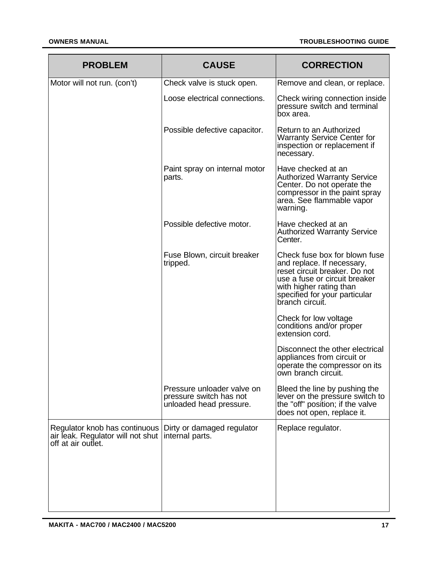| <b>CAUSE</b>                                                                     | <b>CORRECTION</b>                                                                                                                                                                                            |
|----------------------------------------------------------------------------------|--------------------------------------------------------------------------------------------------------------------------------------------------------------------------------------------------------------|
| Check valve is stuck open.                                                       | Remove and clean, or replace.                                                                                                                                                                                |
| Loose electrical connections.                                                    | Check wiring connection inside<br>pressure switch and terminal<br>box area.                                                                                                                                  |
| Possible defective capacitor.                                                    | Return to an Authorized<br><b>Warranty Service Center for</b><br>inspection or replacement if<br>necessary.                                                                                                  |
| Paint spray on internal motor<br>parts.                                          | Have checked at an<br><b>Authorized Warranty Service</b><br>Center. Do not operate the<br>compressor in the paint spray<br>area. See flammable vapor<br>warning.                                             |
| Possible defective motor.                                                        | Have checked at an<br><b>Authorized Warranty Service</b><br>Center.                                                                                                                                          |
| Fuse Blown, circuit breaker<br>tripped.                                          | Check fuse box for blown fuse<br>and replace. If necessary,<br>reset circuit breaker. Do not<br>use a fuse or circuit breaker<br>with higher rating than<br>specified for your particular<br>branch circuit. |
|                                                                                  | Check for low voltage<br>conditions and/or proper<br>extension cord.                                                                                                                                         |
|                                                                                  | Disconnect the other electrical<br>appliances from circuit or<br>operate the compressor on its<br>own branch circuit.                                                                                        |
| Pressure unloader valve on<br>pressure switch has not<br>unloaded head pressure. | Bleed the line by pushing the<br>lever on the pressure switch to<br>the "off" position; if the valve<br>does not open, replace it.                                                                           |
| Regulator knob has continuous<br>Dirty or damaged regulator<br>internal parts.   | Replace regulator.                                                                                                                                                                                           |
|                                                                                  |                                                                                                                                                                                                              |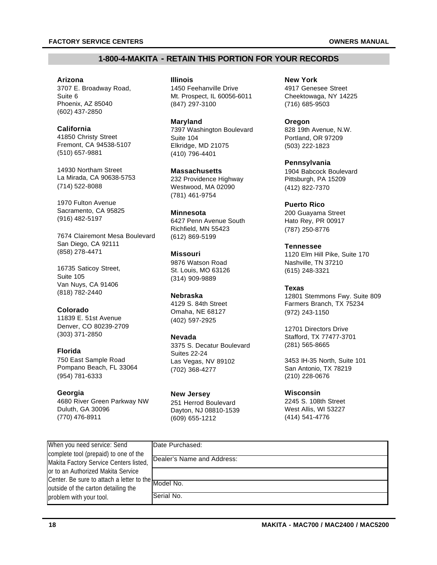#### **1-800-4-MAKITA - RETAIN THIS PORTION FOR YOUR RECORDS**

**Arizona** 3707 E. Broadway Road, Suite 6 Phoenix, AZ 85040 (602) 437-2850

#### **California**

41850 Christy Street Fremont, CA 94538-5107 (510) 657-9881

14930 Northam Street La Mirada, CA 90638-5753 (714) 522-8088

1970 Fulton Avenue Sacramento, CA 95825 (916) 482-5197

7674 Clairemont Mesa Boulevard San Diego, CA 92111 (858) 278-4471

16735 Saticoy Street, Suite 105 Van Nuys, CA 91406 (818) 782-2440

#### **Colorado**

11839 E. 51st Avenue Denver, CO 80239-2709 (303) 371-2850

#### **Florida**

750 East Sample Road Pompano Beach, FL 33064 (954) 781-6333

#### **Georgia**

4680 River Green Parkway NW Duluth, GA 30096 (770) 476-8911

**Illinois** 1450 Feehanville Drive Mt. Prospect, IL 60056-6011 (847) 297-3100

**Maryland** 7397 Washington Boulevard Suite 104 Elkridge, MD 21075 (410) 796-4401

**Massachusetts** 232 Providence Highway Westwood, MA 02090 (781) 461-9754

**Minnesota** 6427 Penn Avenue South Richfield, MN 55423 (612) 869-5199

**Missouri** 9876 Watson Road St. Louis, MO 63126 (314) 909-9889

#### **Nebraska**

4129 S. 84th Street Omaha, NE 68127 (402) 597-2925

#### **Nevada**

3375 S. Decatur Boulevard Suites 22-24 Las Vegas, NV 89102 (702) 368-4277

**New Jersey** 251 Herrod Boulevard Dayton, NJ 08810-1539 (609) 655-1212

**New York** 4917 Genesee Street Cheektowaga, NY 14225 (716) 685-9503

**Oregon** 828 19th Avenue, N.W. Portland, OR 97209 (503) 222-1823

**Pennsylvania** 1904 Babcock Boulevard Pittsburgh, PA 15209 (412) 822-7370

**Puerto Rico** 200 Guayama Street Hato Rey, PR 00917 (787) 250-8776

**Tennessee** 1120 Elm Hill Pike, Suite 170 Nashville, TN 37210 (615) 248-3321

#### **Texas**

12801 Stemmons Fwy. Suite 809 Farmers Branch, TX 75234 (972) 243-1150

12701 Directors Drive Stafford, TX 77477-3701 (281) 565-8665

3453 IH-35 North, Suite 101 San Antonio, TX 78219 (210) 228-0676

#### **Wisconsin**

2245 S. 108th Street West Allis, WI 53227 (414) 541-4776

| When you need service: Send                         | Date Purchased:            |
|-----------------------------------------------------|----------------------------|
| complete tool (prepaid) to one of the               |                            |
| Makita Factory Service Centers listed,              | Dealer's Name and Address: |
| or to an Authorized Makita Service                  |                            |
| Center. Be sure to attach a letter to the Model No. |                            |
| outside of the carton detailing the                 |                            |
| problem with your tool.                             | lSerial No.                |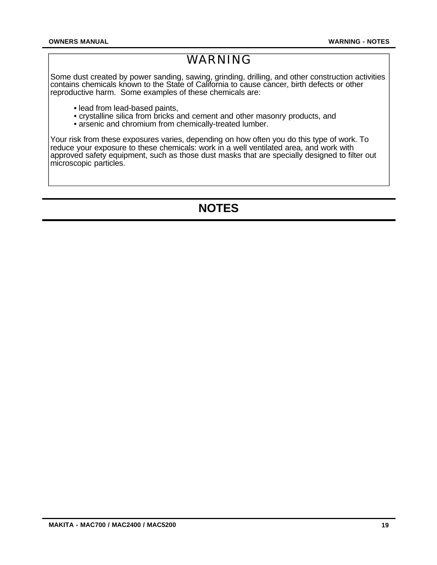### WARNING

Some dust created by power sanding, sawing, grinding, drilling, and other construction activities contains chemicals known to the State of California to cause cancer, birth defects or other reproductive harm. Some examples of these chemicals are:

- lead from lead-based paints,
- crystalline silica from bricks and cement and other masonry products, and
- arsenic and chromium from chemically-treated lumber.

Your risk from these exposures varies, depending on how often you do this type of work. To reduce your exposure to these chemicals: work in a well ventilated area, and work with approved safety equipment, such as those dust masks that are specially designed to filter out microscopic particles.

## **NOTES**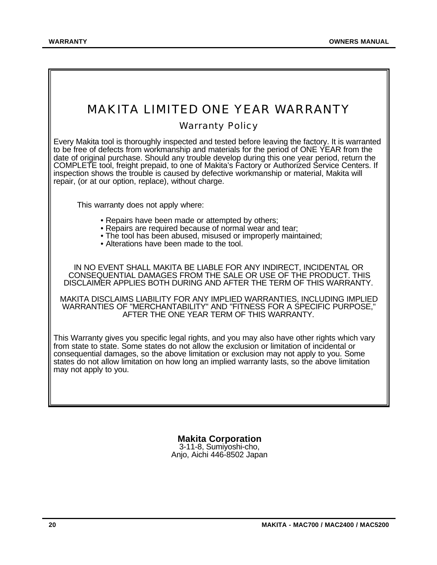## MAKITA LIMITED ONE YEAR WARRANTY

#### Warranty Policy

Every Makita tool is thoroughly inspected and tested before leaving the factory. It is warranted to be free of defects from workmanship and materials for the period of ONE YEAR from the date of original purchase. Should any trouble develop during this one year period, return the COMPLETE tool, freight prepaid, to one of Makita's Factory or Authorized Service Centers. If inspection shows the trouble is caused by defective workmanship or material, Makita will repair, (or at our option, replace), without charge.

This warranty does not apply where:

- Repairs have been made or attempted by others;
- Repairs are required because of normal wear and tear;
- The tool has been abused, misused or improperly maintained;
- Alterations have been made to the tool.

IN NO EVENT SHALL MAKITA BE LIABLE FOR ANY INDIRECT, INCIDENTAL OR CONSEQUENTIAL DAMAGES FROM THE SALE OR USE OF THE PRODUCT. THIS DISCLAIMER APPLIES BOTH DURING AND AFTER THE TERM OF THIS WARRANTY.

MAKITA DISCLAIMS LIABILITY FOR ANY IMPLIED WARRANTIES, INCLUDING IMPLIED WARRANTIES OF "MERCHANTABILITY" AND "FITNESS FOR A SPECIFIC PURPOSE," AFTER THE ONE YEAR TERM OF THIS WARRANTY.

This Warranty gives you specific legal rights, and you may also have other rights which vary from state to state. Some states do not allow the exclusion or limitation of incidental or consequential damages, so the above limitation or exclusion may not apply to you. Some states do not allow limitation on how long an implied warranty lasts, so the above limitation may not apply to you.

> **Makita Corporation** 3-11-8, Sumiyoshi-cho,

Anjo, Aichi 446-8502 Japan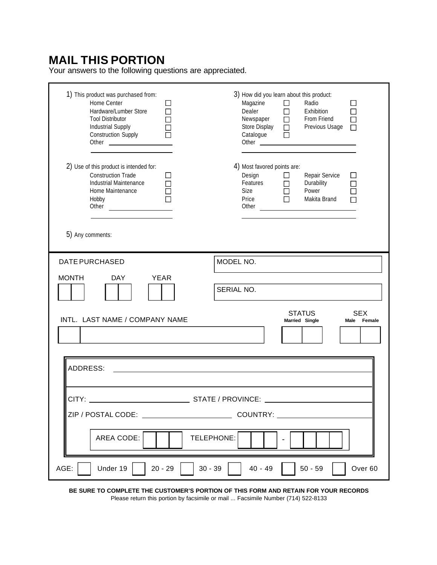### **MAIL THIS PORTION**

Your answers to the following questions are appreciated.

| 1) This product was purchased from:<br>Home Center<br>Hardware/Lumber Store<br><b>Tool Distributor</b><br>Industrial Supply<br><b>Construction Supply</b> | 3) How did you learn about this product:<br>Magazine<br>$\Box$<br>Radio<br>$\overline{\phantom{a}}$<br>$\Box$<br>Dealer<br>$\Box$<br>Exhibition<br>Newspaper<br>From Friend<br>П<br>Store Display<br>Previous Usage<br>$\Box$<br>$\Box$<br>Catalogue<br>$\Box$<br>Other <b>Communication</b> |
|-----------------------------------------------------------------------------------------------------------------------------------------------------------|----------------------------------------------------------------------------------------------------------------------------------------------------------------------------------------------------------------------------------------------------------------------------------------------|
| 2) Use of this product is intended for:<br><b>Construction Trade</b><br>Industrial Maintenance<br>Home Maintenance<br>Hobby<br>5) Any comments:           | 4) Most favored points are:<br>Repair Service<br>Design<br>$\Box$<br>$\Box$<br>Features<br>Durability<br>$\Box$<br>Size<br>Power<br>Price<br>Makita Brand<br>Other<br><u> 1980 - Andrea Brand, amerikansk politik (</u>                                                                      |
| <b>DATE PURCHASED</b><br><b>MONTH</b><br><b>DAY</b><br><b>YEAR</b>                                                                                        | MODEL NO.<br>SERIAL NO.<br><b>STATUS</b><br><b>SEX</b>                                                                                                                                                                                                                                       |
| INTL. LAST NAME / COMPANY NAME                                                                                                                            | Married Single<br>Male Female                                                                                                                                                                                                                                                                |
| <b>ADDRESS:</b>                                                                                                                                           |                                                                                                                                                                                                                                                                                              |
| CITY:<br>____ STATE / PROVINCE:                                                                                                                           |                                                                                                                                                                                                                                                                                              |
| AREA CODE:<br>TELEPHONE:                                                                                                                                  |                                                                                                                                                                                                                                                                                              |
| AGE:<br>Under 19<br>$20 - 29$<br>$30 - 39$<br>$40 - 49$<br>$50 - 59$<br>Over <sub>60</sub>                                                                |                                                                                                                                                                                                                                                                                              |

**BE SURE TO COMPLETE THE CUSTOMER'S PORTION OF THIS FORM AND RETAIN FOR YOUR RECORDS** Please return this portion by facsimile or mail ... Facsimile Number (714) 522-8133